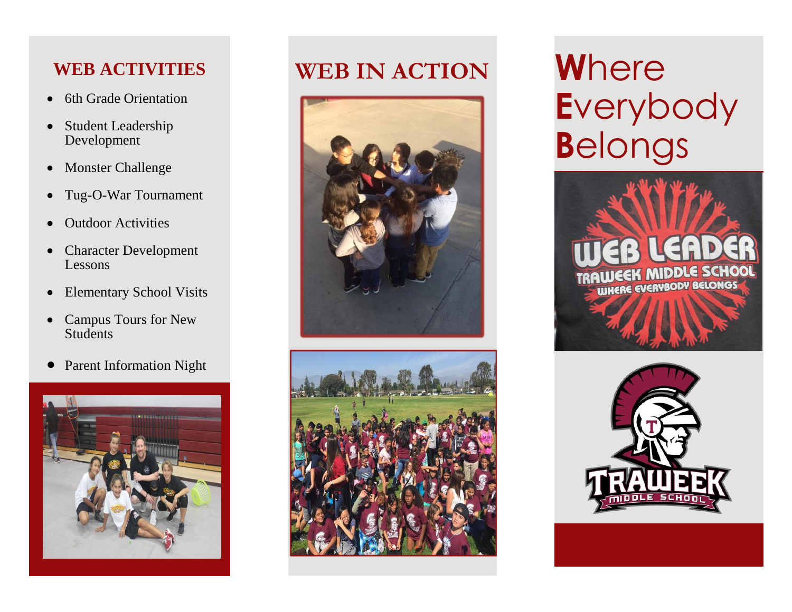### **WEB ACTIVITIES**

- 6th Grade Orientation
- Student Leadership Development
- Monster Challenge
- Tug-O-War Tournament
- Outdoor Activities
- Character Development Lessons
- Elementary School Visits
- Campus Tours for New **Students**
- Parent Information Night



# **WEB IN ACTION W**here





**E**verybody **B**elongs